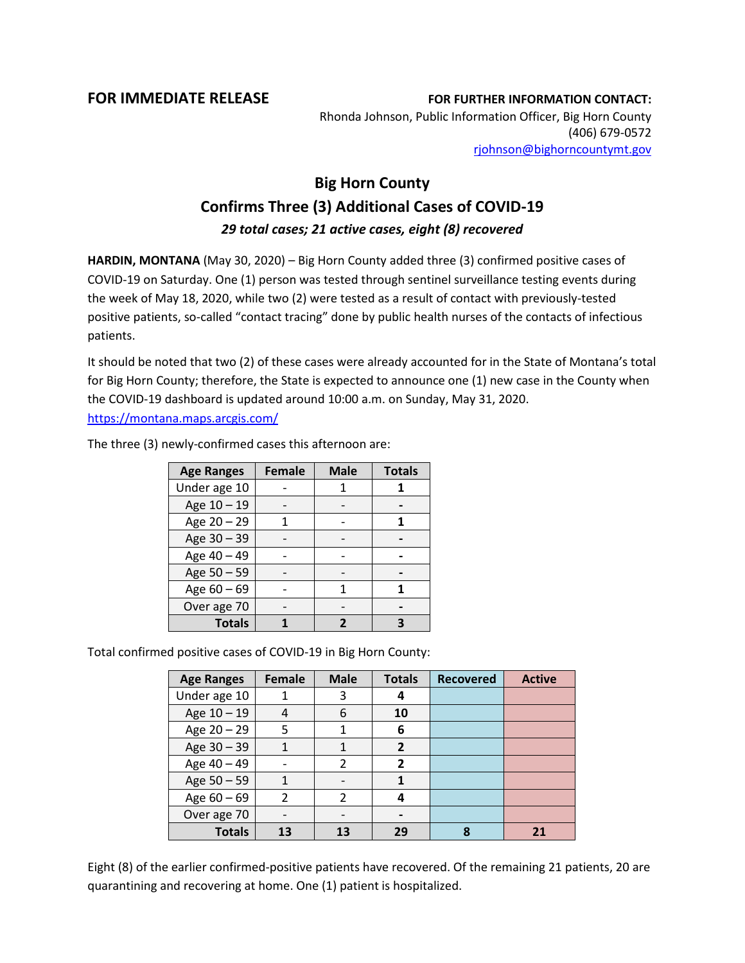**FOR IMMEDIATE RELEASE FOR FURTHER INFORMATION CONTACT:** Rhonda Johnson, Public Information Officer, Big Horn County (406) 679-0572 [rjohnson@bighorncountymt.gov](mailto:rjohnson@bighorncountymt.gov)

## **Big Horn County Confirms Three (3) Additional Cases of COVID-19** *29 total cases; 21 active cases, eight (8) recovered*

**HARDIN, MONTANA** (May 30, 2020) – Big Horn County added three (3) confirmed positive cases of COVID-19 on Saturday. One (1) person was tested through sentinel surveillance testing events during the week of May 18, 2020, while two (2) were tested as a result of contact with previously-tested positive patients, so-called "contact tracing" done by public health nurses of the contacts of infectious patients.

It should be noted that two (2) of these cases were already accounted for in the State of Montana's total for Big Horn County; therefore, the State is expected to announce one (1) new case in the County when the COVID-19 dashboard is updated around 10:00 a.m. on Sunday, May 31, 2020. <https://montana.maps.arcgis.com/>

> **Age Ranges Female Male Totals** Under age 10 | - | 1 | 1 Age 10 – 19 - - **-** Age  $20 - 29$  | 1 | - | 1 Age 30 – 39 **- 1** - **1** -Age  $40 - 49$   $-$ Age 50 – 59 **- 1** - **1** -Age  $60 - 69$  | - | 1 | 1 Over age 70 | - | - | -**Totals 1 2 3**

The three (3) newly-confirmed cases this afternoon are:

Total confirmed positive cases of COVID-19 in Big Horn County:

| <b>Age Ranges</b> | Female         | <b>Male</b>   | <b>Totals</b>                | <b>Recovered</b> | <b>Active</b> |
|-------------------|----------------|---------------|------------------------------|------------------|---------------|
| Under age 10      |                | 3             | 4                            |                  |               |
| Age 10 - 19       | 4              | 6             | 10                           |                  |               |
| Age 20 - 29       | 5              |               | 6                            |                  |               |
| Age 30 - 39       |                |               | $\mathbf{2}$                 |                  |               |
| Age 40 - 49       |                | $\mathfrak z$ | $\overline{2}$               |                  |               |
| Age 50 - 59       |                |               |                              |                  |               |
| Age $60 - 69$     | $\mathfrak{p}$ | 2             | 4                            |                  |               |
| Over age 70       |                |               | $\qquad \qquad \blacksquare$ |                  |               |
| <b>Totals</b>     | 13             | 13            | 29                           | 8                | 21            |

Eight (8) of the earlier confirmed-positive patients have recovered. Of the remaining 21 patients, 20 are quarantining and recovering at home. One (1) patient is hospitalized.